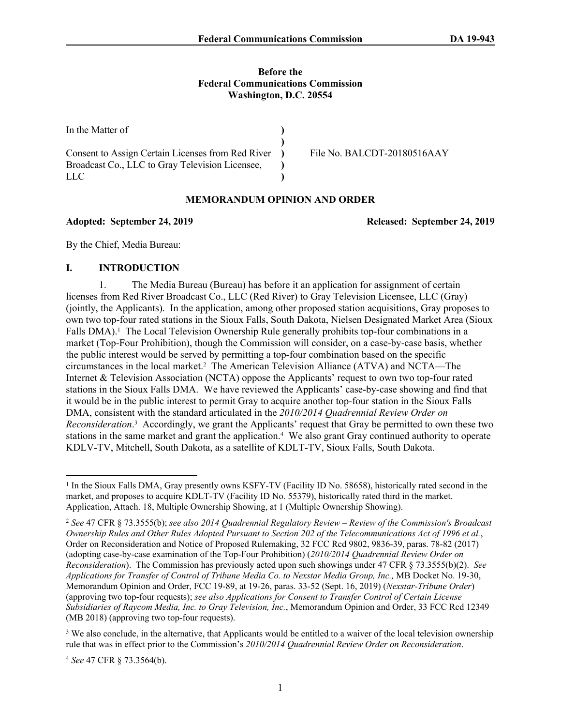#### **Before the Federal Communications Commission Washington, D.C. 20554**

| In the Matter of                                  |                             |
|---------------------------------------------------|-----------------------------|
|                                                   |                             |
| Consent to Assign Certain Licenses from Red River | File No. BALCDT-20180516AAY |
| Broadcast Co., LLC to Gray Television Licensee,   |                             |
| LLC                                               |                             |

#### **MEMORANDUM OPINION AND ORDER**

#### **Adopted: September 24, 2019 Released: September 24, 2019**

By the Chief, Media Bureau:

#### **I. INTRODUCTION**

1. The Media Bureau (Bureau) has before it an application for assignment of certain licenses from Red River Broadcast Co., LLC (Red River) to Gray Television Licensee, LLC (Gray) (jointly, the Applicants). In the application, among other proposed station acquisitions, Gray proposes to own two top-four rated stations in the Sioux Falls, South Dakota, Nielsen Designated Market Area (Sioux Falls DMA).<sup>1</sup> The Local Television Ownership Rule generally prohibits top-four combinations in a market (Top-Four Prohibition), though the Commission will consider, on a case-by-case basis, whether the public interest would be served by permitting a top-four combination based on the specific circumstances in the local market.<sup>2</sup> The American Television Alliance (ATVA) and NCTA—The Internet & Television Association (NCTA) oppose the Applicants' request to own two top-four rated stations in the Sioux Falls DMA. We have reviewed the Applicants' case-by-case showing and find that it would be in the public interest to permit Gray to acquire another top-four station in the Sioux Falls DMA, consistent with the standard articulated in the *2010/2014 Quadrennial Review Order on Reconsideration*. 3 Accordingly, we grant the Applicants' request that Gray be permitted to own these two stations in the same market and grant the application.<sup>4</sup> We also grant Gray continued authority to operate KDLV-TV, Mitchell, South Dakota, as a satellite of KDLT-TV, Sioux Falls, South Dakota.

<sup>&</sup>lt;sup>1</sup> In the Sioux Falls DMA, Gray presently owns KSFY-TV (Facility ID No. 58658), historically rated second in the market, and proposes to acquire KDLT-TV (Facility ID No. 55379), historically rated third in the market. Application, Attach. 18, Multiple Ownership Showing, at 1 (Multiple Ownership Showing).

<sup>2</sup> *See* 47 CFR § 73.3555(b); *see also 2014 Quadrennial Regulatory Review – Review of the Commission's Broadcast Ownership Rules and Other Rules Adopted Pursuant to Section 202 of the Telecommunications Act of 1996 et al.*, Order on Reconsideration and Notice of Proposed Rulemaking, 32 FCC Rcd 9802, 9836-39, paras. 78-82 (2017) (adopting case-by-case examination of the Top-Four Prohibition) (*2010/2014 Quadrennial Review Order on Reconsideration*). The Commission has previously acted upon such showings under 47 CFR § 73.3555(b)(2). *See Applications for Transfer of Control of Tribune Media Co. to Nexstar Media Group, Inc.,* MB Docket No. 19-30, Memorandum Opinion and Order, FCC 19-89, at 19-26, paras. 33-52 (Sept. 16, 2019) (*Nexstar-Tribune Order*) (approving two top-four requests); *see also Applications for Consent to Transfer Control of Certain License Subsidiaries of Raycom Media, Inc. to Gray Television, Inc.*, Memorandum Opinion and Order, 33 FCC Rcd 12349 (MB 2018) (approving two top-four requests).

<sup>&</sup>lt;sup>3</sup> We also conclude, in the alternative, that Applicants would be entitled to a waiver of the local television ownership rule that was in effect prior to the Commission's *2010/2014 Quadrennial Review Order on Reconsideration*.

<sup>4</sup> *See* 47 CFR § 73.3564(b).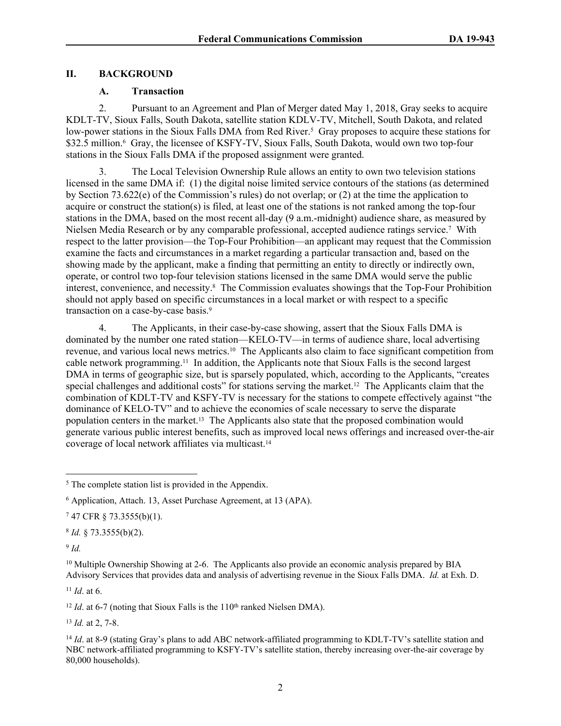### **II. BACKGROUND**

### **A. Transaction**

2. Pursuant to an Agreement and Plan of Merger dated May 1, 2018, Gray seeks to acquire KDLT-TV, Sioux Falls, South Dakota, satellite station KDLV-TV, Mitchell, South Dakota, and related low-power stations in the Sioux Falls DMA from Red River.<sup>5</sup> Gray proposes to acquire these stations for \$32.5 million.<sup>6</sup> Gray, the licensee of KSFY-TV, Sioux Falls, South Dakota, would own two top-four stations in the Sioux Falls DMA if the proposed assignment were granted.

3. The Local Television Ownership Rule allows an entity to own two television stations licensed in the same DMA if: (1) the digital noise limited service contours of the stations (as determined by Section 73.622(e) of the Commission's rules) do not overlap; or (2) at the time the application to acquire or construct the station(s) is filed, at least one of the stations is not ranked among the top-four stations in the DMA, based on the most recent all-day (9 a.m.-midnight) audience share, as measured by Nielsen Media Research or by any comparable professional, accepted audience ratings service.<sup>7</sup> With respect to the latter provision—the Top-Four Prohibition—an applicant may request that the Commission examine the facts and circumstances in a market regarding a particular transaction and, based on the showing made by the applicant, make a finding that permitting an entity to directly or indirectly own, operate, or control two top-four television stations licensed in the same DMA would serve the public interest, convenience, and necessity.<sup>8</sup> The Commission evaluates showings that the Top-Four Prohibition should not apply based on specific circumstances in a local market or with respect to a specific transaction on a case-by-case basis.<sup>9</sup>

4. The Applicants, in their case-by-case showing, assert that the Sioux Falls DMA is dominated by the number one rated station—KELO-TV—in terms of audience share, local advertising revenue, and various local news metrics.10 The Applicants also claim to face significant competition from cable network programming.11 In addition, the Applicants note that Sioux Falls is the second largest DMA in terms of geographic size, but is sparsely populated, which, according to the Applicants, "creates special challenges and additional costs" for stations serving the market.12 The Applicants claim that the combination of KDLT-TV and KSFY-TV is necessary for the stations to compete effectively against "the dominance of KELO-TV" and to achieve the economies of scale necessary to serve the disparate population centers in the market.13 The Applicants also state that the proposed combination would generate various public interest benefits, such as improved local news offerings and increased over-the-air coverage of local network affiliates via multicast.<sup>14</sup>

8 *Id.* § 73.3555(b)(2).

9 *Id.*

 $11$  *Id.* at 6.

<sup>12</sup> *Id.* at 6-7 (noting that Sioux Falls is the  $110<sup>th</sup>$  ranked Nielsen DMA).

<sup>13</sup> *Id.* at 2, 7-8.

<sup>14</sup> *Id.* at 8-9 (stating Gray's plans to add ABC network-affiliated programming to KDLT-TV's satellite station and NBC network-affiliated programming to KSFY-TV's satellite station, thereby increasing over-the-air coverage by 80,000 households).

<sup>&</sup>lt;sup>5</sup> The complete station list is provided in the Appendix.

<sup>6</sup> Application, Attach. 13, Asset Purchase Agreement, at 13 (APA).

<sup>7</sup> 47 CFR § 73.3555(b)(1).

<sup>&</sup>lt;sup>10</sup> Multiple Ownership Showing at 2-6. The Applicants also provide an economic analysis prepared by BIA Advisory Services that provides data and analysis of advertising revenue in the Sioux Falls DMA. *Id.* at Exh. D.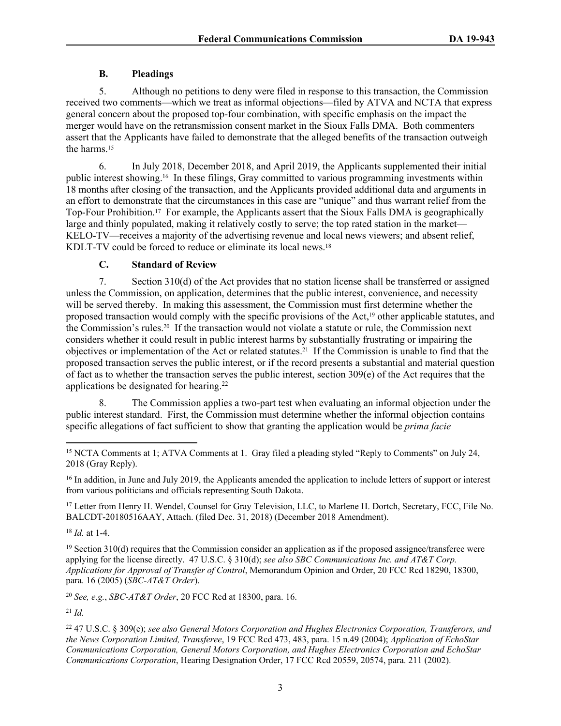## **B. Pleadings**

5. Although no petitions to deny were filed in response to this transaction, the Commission received two comments—which we treat as informal objections—filed by ATVA and NCTA that express general concern about the proposed top-four combination, with specific emphasis on the impact the merger would have on the retransmission consent market in the Sioux Falls DMA. Both commenters assert that the Applicants have failed to demonstrate that the alleged benefits of the transaction outweigh the harms.<sup>15</sup>

6. In July 2018, December 2018, and April 2019, the Applicants supplemented their initial public interest showing.16 In these filings, Gray committed to various programming investments within 18 months after closing of the transaction, and the Applicants provided additional data and arguments in an effort to demonstrate that the circumstances in this case are "unique" and thus warrant relief from the Top-Four Prohibition.17 For example, the Applicants assert that the Sioux Falls DMA is geographically large and thinly populated, making it relatively costly to serve; the top rated station in the market— KELO-TV—receives a majority of the advertising revenue and local news viewers; and absent relief, KDLT-TV could be forced to reduce or eliminate its local news.<sup>18</sup>

### **C. Standard of Review**

7. Section 310(d) of the Act provides that no station license shall be transferred or assigned unless the Commission, on application, determines that the public interest, convenience, and necessity will be served thereby. In making this assessment, the Commission must first determine whether the proposed transaction would comply with the specific provisions of the Act,19 other applicable statutes, and the Commission's rules.20 If the transaction would not violate a statute or rule, the Commission next considers whether it could result in public interest harms by substantially frustrating or impairing the objectives or implementation of the Act or related statutes.21 If the Commission is unable to find that the proposed transaction serves the public interest, or if the record presents a substantial and material question of fact as to whether the transaction serves the public interest, section  $309(e)$  of the Act requires that the applications be designated for hearing.<sup>22</sup>

8. The Commission applies a two-part test when evaluating an informal objection under the public interest standard. First, the Commission must determine whether the informal objection contains specific allegations of fact sufficient to show that granting the application would be *prima facie*

<sup>17</sup> Letter from Henry H. Wendel, Counsel for Gray Television, LLC, to Marlene H. Dortch, Secretary, FCC, File No. BALCDT-20180516AAY, Attach. (filed Dec. 31, 2018) (December 2018 Amendment).

<sup>18</sup> *Id.* at 1-4.

<sup>19</sup> Section 310(d) requires that the Commission consider an application as if the proposed assignee/transferee were applying for the license directly. 47 U.S.C. § 310(d); *see also SBC Communications Inc. and AT&T Corp. Applications for Approval of Transfer of Control*, Memorandum Opinion and Order, 20 FCC Rcd 18290, 18300, para. 16 (2005) (*SBC-AT&T Order*).

<sup>20</sup> *See, e.g.*, *SBC-AT&T Order*, 20 FCC Rcd at 18300, para. 16.

<sup>21</sup> *Id.*

<sup>22</sup> 47 U.S.C. § 309(e); *see also General Motors Corporation and Hughes Electronics Corporation, Transferors, and the News Corporation Limited, Transferee*, 19 FCC Rcd 473, 483, para. 15 n.49 (2004); *Application of EchoStar Communications Corporation, General Motors Corporation, and Hughes Electronics Corporation and EchoStar Communications Corporation*, Hearing Designation Order, 17 FCC Rcd 20559, 20574, para. 211 (2002).

<sup>15</sup> NCTA Comments at 1; ATVA Comments at 1. Gray filed a pleading styled "Reply to Comments" on July 24, 2018 (Gray Reply).

<sup>&</sup>lt;sup>16</sup> In addition, in June and July 2019, the Applicants amended the application to include letters of support or interest from various politicians and officials representing South Dakota.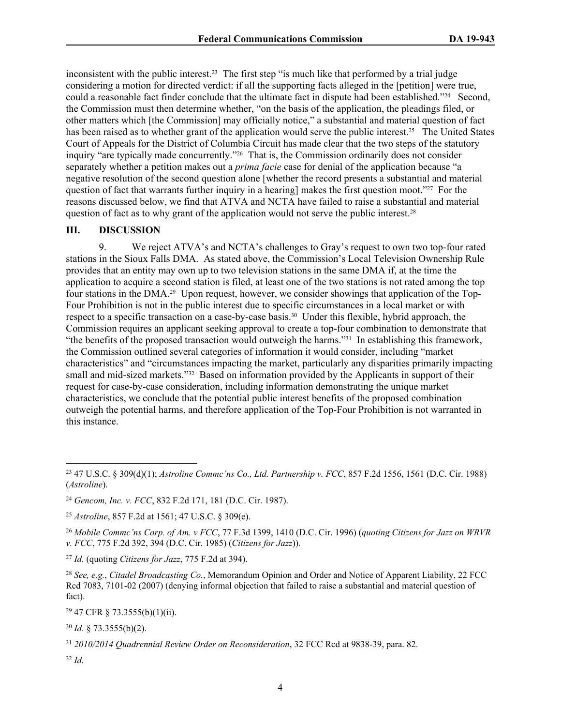inconsistent with the public interest.<sup>23</sup> The first step "is much like that performed by a trial judge considering a motion for directed verdict: if all the supporting facts alleged in the [petition] were true, could a reasonable fact finder conclude that the ultimate fact in dispute had been established."24 Second, the Commission must then determine whether, "on the basis of the application, the pleadings filed, or other matters which [the Commission] may officially notice," a substantial and material question of fact has been raised as to whether grant of the application would serve the public interest.<sup>25</sup> The United States Court of Appeals for the District of Columbia Circuit has made clear that the two steps of the statutory inquiry "are typically made concurrently."26 That is, the Commission ordinarily does not consider separately whether a petition makes out a *prima facie* case for denial of the application because "a negative resolution of the second question alone [whether the record presents a substantial and material question of fact that warrants further inquiry in a hearing] makes the first question moot."27 For the reasons discussed below, we find that ATVA and NCTA have failed to raise a substantial and material question of fact as to why grant of the application would not serve the public interest.<sup>28</sup>

#### **III. DISCUSSION**

9. We reject ATVA's and NCTA's challenges to Gray's request to own two top-four rated stations in the Sioux Falls DMA. As stated above, the Commission's Local Television Ownership Rule provides that an entity may own up to two television stations in the same DMA if, at the time the application to acquire a second station is filed, at least one of the two stations is not rated among the top four stations in the DMA.29 Upon request, however, we consider showings that application of the Top-Four Prohibition is not in the public interest due to specific circumstances in a local market or with respect to a specific transaction on a case-by-case basis.30 Under this flexible, hybrid approach, the Commission requires an applicant seeking approval to create a top-four combination to demonstrate that "the benefits of the proposed transaction would outweigh the harms."31 In establishing this framework, the Commission outlined several categories of information it would consider, including "market characteristics" and "circumstances impacting the market, particularly any disparities primarily impacting small and mid-sized markets."<sup>32</sup> Based on information provided by the Applicants in support of their request for case-by-case consideration, including information demonstrating the unique market characteristics, we conclude that the potential public interest benefits of the proposed combination outweigh the potential harms, and therefore application of the Top-Four Prohibition is not warranted in this instance.

<sup>29</sup> 47 CFR § 73.3555(b)(1)(ii).

<sup>30</sup> *Id.* § 73.3555(b)(2).

<sup>32</sup> *Id.*

<sup>23</sup> 47 U.S.C. § 309(d)(1); *Astroline Commc'ns Co., Ltd. Partnership v. FCC*, 857 F.2d 1556, 1561 (D.C. Cir. 1988) (*Astroline*).

<sup>24</sup> *Gencom, Inc. v. FCC*, 832 F.2d 171, 181 (D.C. Cir. 1987).

<sup>25</sup> *Astroline*, 857 F.2d at 1561; 47 U.S.C. § 309(e).

<sup>26</sup> *Mobile Commc'ns Corp. of Am. v FCC*, 77 F.3d 1399, 1410 (D.C. Cir. 1996) (*quoting Citizens for Jazz on WRVR v. FCC*, 775 F.2d 392, 394 (D.C. Cir. 1985) (*Citizens for Jazz*)).

<sup>27</sup> *Id.* (quoting *Citizens for Jazz*, 775 F.2d at 394).

<sup>28</sup> *See, e.g.*, *Citadel Broadcasting Co.*, Memorandum Opinion and Order and Notice of Apparent Liability, 22 FCC Rcd 7083, 7101-02 (2007) (denying informal objection that failed to raise a substantial and material question of fact).

<sup>31</sup> *2010/2014 Quadrennial Review Order on Reconsideration*, 32 FCC Rcd at 9838-39, para. 82.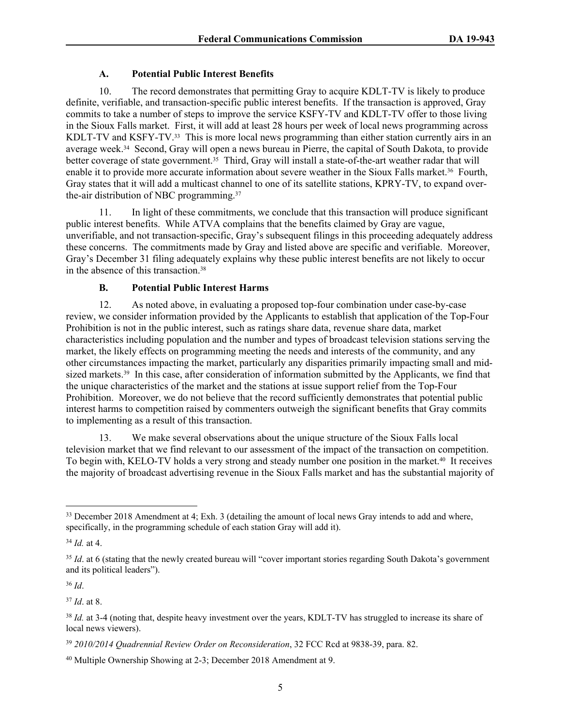# **A. Potential Public Interest Benefits**

10. The record demonstrates that permitting Gray to acquire KDLT-TV is likely to produce definite, verifiable, and transaction-specific public interest benefits. If the transaction is approved, Gray commits to take a number of steps to improve the service KSFY-TV and KDLT-TV offer to those living in the Sioux Falls market. First, it will add at least 28 hours per week of local news programming across KDLT-TV and KSFY-TV.<sup>33</sup> This is more local news programming than either station currently airs in an average week.34 Second, Gray will open a news bureau in Pierre, the capital of South Dakota, to provide better coverage of state government.<sup>35</sup> Third, Gray will install a state-of-the-art weather radar that will enable it to provide more accurate information about severe weather in the Sioux Falls market.<sup>36</sup> Fourth, Gray states that it will add a multicast channel to one of its satellite stations, KPRY-TV, to expand overthe-air distribution of NBC programming.<sup>37</sup>

11. In light of these commitments, we conclude that this transaction will produce significant public interest benefits. While ATVA complains that the benefits claimed by Gray are vague, unverifiable, and not transaction-specific, Gray's subsequent filings in this proceeding adequately address these concerns. The commitments made by Gray and listed above are specific and verifiable. Moreover, Gray's December 31 filing adequately explains why these public interest benefits are not likely to occur in the absence of this transaction.<sup>38</sup>

# **B. Potential Public Interest Harms**

12. As noted above, in evaluating a proposed top-four combination under case-by-case review, we consider information provided by the Applicants to establish that application of the Top-Four Prohibition is not in the public interest, such as ratings share data, revenue share data, market characteristics including population and the number and types of broadcast television stations serving the market, the likely effects on programming meeting the needs and interests of the community, and any other circumstances impacting the market, particularly any disparities primarily impacting small and midsized markets.<sup>39</sup> In this case, after consideration of information submitted by the Applicants, we find that the unique characteristics of the market and the stations at issue support relief from the Top-Four Prohibition. Moreover, we do not believe that the record sufficiently demonstrates that potential public interest harms to competition raised by commenters outweigh the significant benefits that Gray commits to implementing as a result of this transaction.

13. We make several observations about the unique structure of the Sioux Falls local television market that we find relevant to our assessment of the impact of the transaction on competition. To begin with, KELO-TV holds a very strong and steady number one position in the market.<sup>40</sup> It receives the majority of broadcast advertising revenue in the Sioux Falls market and has the substantial majority of

<sup>34</sup> *Id.* at 4.

<sup>36</sup> *Id*.

<sup>37</sup> *Id*. at 8.

<sup>&</sup>lt;sup>33</sup> December 2018 Amendment at 4; Exh. 3 (detailing the amount of local news Gray intends to add and where, specifically, in the programming schedule of each station Gray will add it).

<sup>&</sup>lt;sup>35</sup> *Id.* at 6 (stating that the newly created bureau will "cover important stories regarding South Dakota's government and its political leaders").

<sup>&</sup>lt;sup>38</sup> *Id.* at 3-4 (noting that, despite heavy investment over the years, KDLT-TV has struggled to increase its share of local news viewers).

<sup>39</sup> *2010/2014 Quadrennial Review Order on Reconsideration*, 32 FCC Rcd at 9838-39, para. 82.

<sup>40</sup> Multiple Ownership Showing at 2-3; December 2018 Amendment at 9.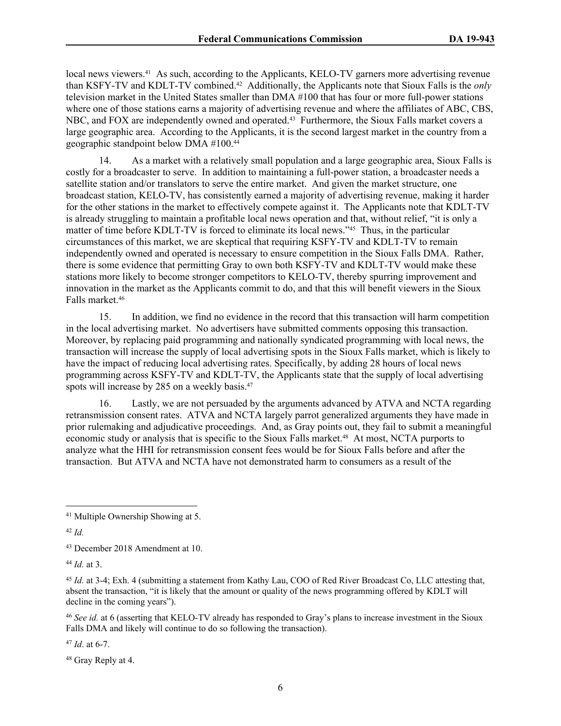local news viewers.<sup>41</sup> As such, according to the Applicants, KELO-TV garners more advertising revenue than KSFY-TV and KDLT-TV combined.42 Additionally, the Applicants note that Sioux Falls is the *only* television market in the United States smaller than DMA #100 that has four or more full-power stations where one of those stations earns a majority of advertising revenue and where the affiliates of ABC, CBS, NBC, and FOX are independently owned and operated.<sup>43</sup> Furthermore, the Sioux Falls market covers a large geographic area. According to the Applicants, it is the second largest market in the country from a geographic standpoint below DMA #100.<sup>44</sup>

14. As a market with a relatively small population and a large geographic area, Sioux Falls is costly for a broadcaster to serve. In addition to maintaining a full-power station, a broadcaster needs a satellite station and/or translators to serve the entire market. And given the market structure, one broadcast station, KELO-TV, has consistently earned a majority of advertising revenue, making it harder for the other stations in the market to effectively compete against it. The Applicants note that KDLT-TV is already struggling to maintain a profitable local news operation and that, without relief, "it is only a matter of time before KDLT-TV is forced to eliminate its local news."45 Thus, in the particular circumstances of this market, we are skeptical that requiring KSFY-TV and KDLT-TV to remain independently owned and operated is necessary to ensure competition in the Sioux Falls DMA. Rather, there is some evidence that permitting Gray to own both KSFY-TV and KDLT-TV would make these stations more likely to become stronger competitors to KELO-TV, thereby spurring improvement and innovation in the market as the Applicants commit to do, and that this will benefit viewers in the Sioux Falls market.<sup>46</sup>

15. In addition, we find no evidence in the record that this transaction will harm competition in the local advertising market. No advertisers have submitted comments opposing this transaction. Moreover, by replacing paid programming and nationally syndicated programming with local news, the transaction will increase the supply of local advertising spots in the Sioux Falls market, which is likely to have the impact of reducing local advertising rates. Specifically, by adding 28 hours of local news programming across KSFY-TV and KDLT-TV, the Applicants state that the supply of local advertising spots will increase by 285 on a weekly basis.<sup>47</sup>

16. Lastly, we are not persuaded by the arguments advanced by ATVA and NCTA regarding retransmission consent rates. ATVA and NCTA largely parrot generalized arguments they have made in prior rulemaking and adjudicative proceedings. And, as Gray points out, they fail to submit a meaningful economic study or analysis that is specific to the Sioux Falls market.<sup>48</sup> At most, NCTA purports to analyze what the HHI for retransmission consent fees would be for Sioux Falls before and after the transaction. But ATVA and NCTA have not demonstrated harm to consumers as a result of the

<sup>44</sup> *Id.* at 3.

<sup>46</sup> *See id.* at 6 (asserting that KELO-TV already has responded to Gray's plans to increase investment in the Sioux Falls DMA and likely will continue to do so following the transaction).

<sup>47</sup> *Id*. at 6-7.

48 Gray Reply at 4.

<sup>41</sup> Multiple Ownership Showing at 5.

<sup>42</sup> *Id.*

<sup>43</sup> December 2018 Amendment at 10.

<sup>45</sup> *Id.* at 3-4; Exh. 4 (submitting a statement from Kathy Lau, COO of Red River Broadcast Co, LLC attesting that, absent the transaction, "it is likely that the amount or quality of the news programming offered by KDLT will decline in the coming years").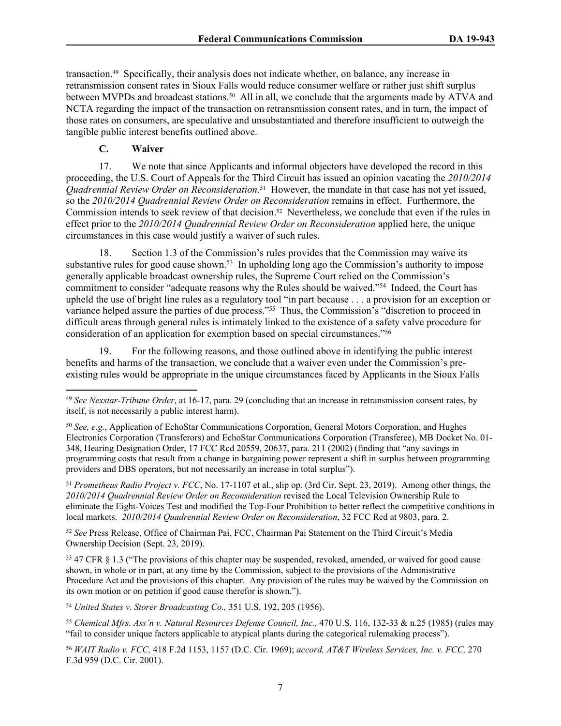transaction.49 Specifically, their analysis does not indicate whether, on balance, any increase in retransmission consent rates in Sioux Falls would reduce consumer welfare or rather just shift surplus between MVPDs and broadcast stations.<sup>50</sup> All in all, we conclude that the arguments made by ATVA and NCTA regarding the impact of the transaction on retransmission consent rates, and in turn, the impact of those rates on consumers, are speculative and unsubstantiated and therefore insufficient to outweigh the tangible public interest benefits outlined above.

**C. Waiver**

17. We note that since Applicants and informal objectors have developed the record in this proceeding, the U.S. Court of Appeals for the Third Circuit has issued an opinion vacating the *2010/2014 Quadrennial Review Order on Reconsideration*. <sup>51</sup> However, the mandate in that case has not yet issued, so the *2010/2014 Quadrennial Review Order on Reconsideration* remains in effect. Furthermore, the Commission intends to seek review of that decision.<sup>52</sup> Nevertheless, we conclude that even if the rules in effect prior to the *2010/2014 Quadrennial Review Order on Reconsideration* applied here, the unique circumstances in this case would justify a waiver of such rules.

18. Section 1.3 of the Commission's rules provides that the Commission may waive its substantive rules for good cause shown.<sup>53</sup> In upholding long ago the Commission's authority to impose generally applicable broadcast ownership rules, the Supreme Court relied on the Commission's commitment to consider "adequate reasons why the Rules should be waived."<sup>54</sup> Indeed, the Court has upheld the use of bright line rules as a regulatory tool "in part because . . . a provision for an exception or variance helped assure the parties of due process."<sup>55</sup> Thus, the Commission's "discretion to proceed in difficult areas through general rules is intimately linked to the existence of a safety valve procedure for consideration of an application for exemption based on special circumstances."<sup>56</sup>

19. For the following reasons, and those outlined above in identifying the public interest benefits and harms of the transaction, we conclude that a waiver even under the Commission's preexisting rules would be appropriate in the unique circumstances faced by Applicants in the Sioux Falls

<sup>51</sup> *Prometheus Radio Project v. FCC*, No. 17-1107 et al., slip op. (3rd Cir. Sept. 23, 2019). Among other things, the *2010/2014 Quadrennial Review Order on Reconsideration* revised the Local Television Ownership Rule to eliminate the Eight-Voices Test and modified the Top-Four Prohibition to better reflect the competitive conditions in local markets. *2010/2014 Quadrennial Review Order on Reconsideration*, 32 FCC Rcd at 9803, para. 2.

<sup>52</sup> *See* Press Release, Office of Chairman Pai, FCC, Chairman Pai Statement on the Third Circuit's Media Ownership Decision (Sept. 23, 2019).

<sup>53</sup> 47 CFR § 1.3 ("The provisions of this chapter may be suspended, revoked, amended, or waived for good cause shown, in whole or in part, at any time by the Commission, subject to the provisions of the Administrative Procedure Act and the provisions of this chapter. Any provision of the rules may be waived by the Commission on its own motion or on petition if good cause therefor is shown.").

<sup>54</sup> *United States v. Storer Broadcasting Co.,* 351 U.S. 192, 205 (1956).

<sup>55</sup> *Chemical Mfrs. Ass'n v. Natural Resources Defense Council, Inc.,* 470 U.S. 116, 132-33 & n.25 (1985) (rules may "fail to consider unique factors applicable to atypical plants during the categorical rulemaking process").

<sup>56</sup> *WAIT Radio v. FCC,* 418 F.2d 1153, 1157 (D.C. Cir. 1969); *accord, AT&T Wireless Services, Inc. v. FCC,* 270 F.3d 959 (D.C. Cir. 2001).

<sup>49</sup> *See Nexstar-Tribune Order*, at 16-17, para. 29 (concluding that an increase in retransmission consent rates, by itself, is not necessarily a public interest harm).

<sup>50</sup> *See, e.g.*, Application of EchoStar Communications Corporation, General Motors Corporation, and Hughes Electronics Corporation (Transferors) and EchoStar Communications Corporation (Transferee), MB Docket No. 01- 348, Hearing Designation Order, 17 FCC Rcd 20559, 20637, para. 211 (2002) (finding that "any savings in programming costs that result from a change in bargaining power represent a shift in surplus between programming providers and DBS operators, but not necessarily an increase in total surplus").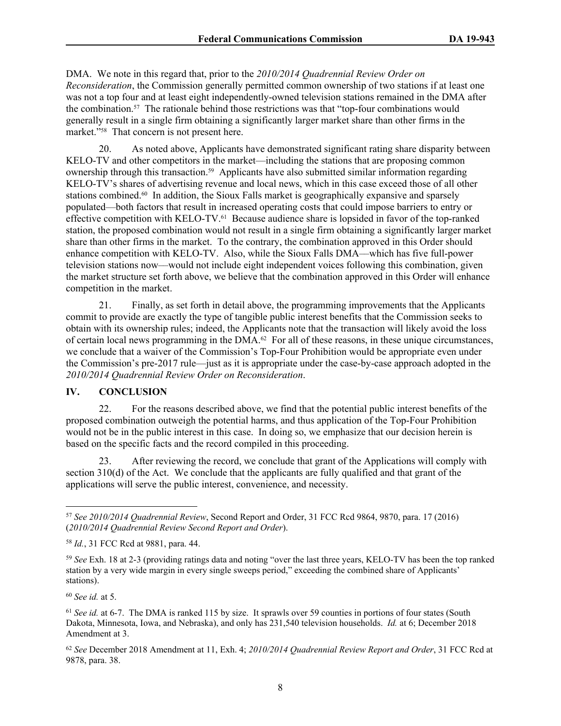DMA. We note in this regard that, prior to the *2010/2014 Quadrennial Review Order on Reconsideration*, the Commission generally permitted common ownership of two stations if at least one was not a top four and at least eight independently-owned television stations remained in the DMA after the combination.57 The rationale behind those restrictions was that "top-four combinations would generally result in a single firm obtaining a significantly larger market share than other firms in the market."<sup>58</sup> That concern is not present here.

20. As noted above, Applicants have demonstrated significant rating share disparity between KELO-TV and other competitors in the market—including the stations that are proposing common ownership through this transaction.59 Applicants have also submitted similar information regarding KELO-TV's shares of advertising revenue and local news, which in this case exceed those of all other stations combined.60 In addition, the Sioux Falls market is geographically expansive and sparsely populated—both factors that result in increased operating costs that could impose barriers to entry or effective competition with KELO-TV.61 Because audience share is lopsided in favor of the top-ranked station, the proposed combination would not result in a single firm obtaining a significantly larger market share than other firms in the market. To the contrary, the combination approved in this Order should enhance competition with KELO-TV. Also, while the Sioux Falls DMA––which has five full-power television stations now––would not include eight independent voices following this combination, given the market structure set forth above, we believe that the combination approved in this Order will enhance competition in the market.

21. Finally, as set forth in detail above, the programming improvements that the Applicants commit to provide are exactly the type of tangible public interest benefits that the Commission seeks to obtain with its ownership rules; indeed, the Applicants note that the transaction will likely avoid the loss of certain local news programming in the DMA.62 For all of these reasons, in these unique circumstances, we conclude that a waiver of the Commission's Top-Four Prohibition would be appropriate even under the Commission's pre-2017 rule—just as it is appropriate under the case-by-case approach adopted in the *2010/2014 Quadrennial Review Order on Reconsideration*.

### **IV. CONCLUSION**

22. For the reasons described above, we find that the potential public interest benefits of the proposed combination outweigh the potential harms, and thus application of the Top-Four Prohibition would not be in the public interest in this case. In doing so, we emphasize that our decision herein is based on the specific facts and the record compiled in this proceeding.

23. After reviewing the record, we conclude that grant of the Applications will comply with section 310(d) of the Act. We conclude that the applicants are fully qualified and that grant of the applications will serve the public interest, convenience, and necessity.

<sup>60</sup> *See id.* at 5.

<sup>57</sup> *See 2010/2014 Quadrennial Review*, Second Report and Order, 31 FCC Rcd 9864, 9870, para. 17 (2016) (*2010/2014 Quadrennial Review Second Report and Order*).

<sup>58</sup> *Id.*, 31 FCC Rcd at 9881, para. 44.

<sup>59</sup> *See* Exh. 18 at 2-3 (providing ratings data and noting "over the last three years, KELO-TV has been the top ranked station by a very wide margin in every single sweeps period," exceeding the combined share of Applicants' stations).

<sup>&</sup>lt;sup>61</sup> *See id.* at 6-7. The DMA is ranked 115 by size. It sprawls over 59 counties in portions of four states (South Dakota, Minnesota, Iowa, and Nebraska), and only has 231,540 television households. *Id.* at 6; December 2018 Amendment at 3.

<sup>62</sup> *See* December 2018 Amendment at 11, Exh. 4; *2010/2014 Quadrennial Review Report and Order*, 31 FCC Rcd at 9878, para. 38.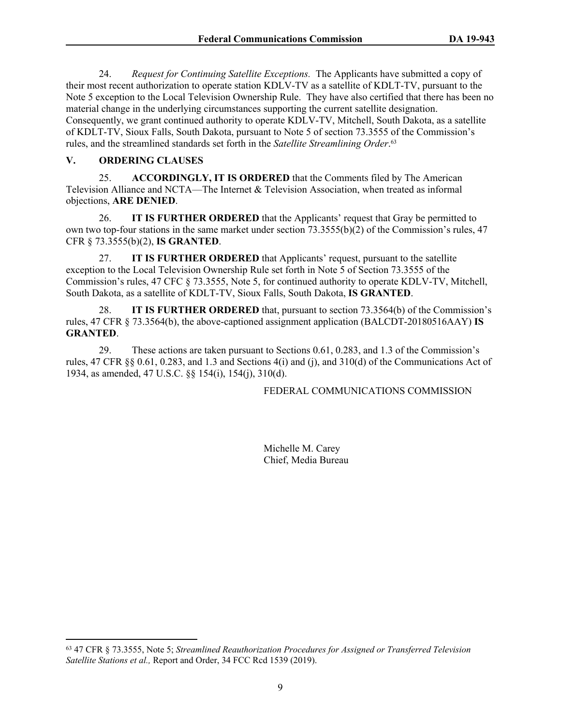24. *Request for Continuing Satellite Exceptions.* The Applicants have submitted a copy of their most recent authorization to operate station KDLV-TV as a satellite of KDLT-TV, pursuant to the Note 5 exception to the Local Television Ownership Rule. They have also certified that there has been no material change in the underlying circumstances supporting the current satellite designation. Consequently, we grant continued authority to operate KDLV-TV, Mitchell, South Dakota, as a satellite of KDLT-TV, Sioux Falls, South Dakota, pursuant to Note 5 of section 73.3555 of the Commission's rules, and the streamlined standards set forth in the *Satellite Streamlining Order*. 63

### **V. ORDERING CLAUSES**

25. **ACCORDINGLY, IT IS ORDERED** that the Comments filed by The American Television Alliance and NCTA—The Internet & Television Association, when treated as informal objections, **ARE DENIED**.

26. **IT IS FURTHER ORDERED** that the Applicants' request that Gray be permitted to own two top-four stations in the same market under section 73.3555(b)(2) of the Commission's rules, 47 CFR § 73.3555(b)(2), **IS GRANTED**.

27. **IT IS FURTHER ORDERED** that Applicants' request, pursuant to the satellite exception to the Local Television Ownership Rule set forth in Note 5 of Section 73.3555 of the Commission's rules, 47 CFC § 73.3555, Note 5, for continued authority to operate KDLV-TV, Mitchell, South Dakota, as a satellite of KDLT-TV, Sioux Falls, South Dakota, **IS GRANTED**.

28. **IT IS FURTHER ORDERED** that, pursuant to section 73.3564(b) of the Commission's rules, 47 CFR § 73.3564(b), the above-captioned assignment application (BALCDT-20180516AAY) **IS GRANTED**.

29. These actions are taken pursuant to Sections 0.61, 0.283, and 1.3 of the Commission's rules, 47 CFR §§ 0.61, 0.283, and 1.3 and Sections 4(i) and (j), and 310(d) of the Communications Act of 1934, as amended, 47 U.S.C. §§ 154(i), 154(j), 310(d).

### FEDERAL COMMUNICATIONS COMMISSION

Michelle M. Carey Chief, Media Bureau

<sup>63</sup> 47 CFR § 73.3555, Note 5; *Streamlined Reauthorization Procedures for Assigned or Transferred Television*  Satellite Stations et al., Report and Order, 34 FCC Rcd 1539 (2019).